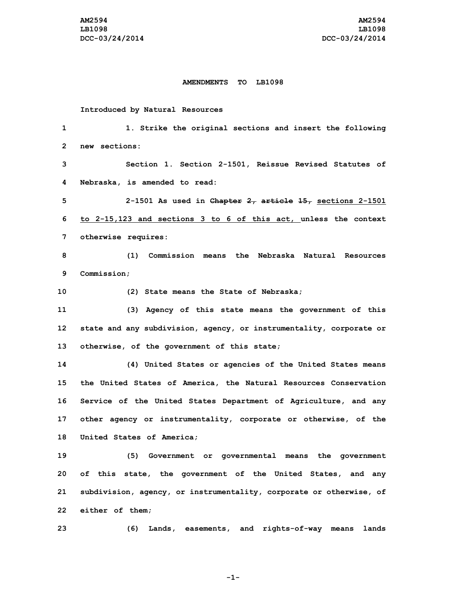## **AMENDMENTS TO LB1098**

## **Introduced by Natural Resources**

| 1            | 1. Strike the original sections and insert the following            |
|--------------|---------------------------------------------------------------------|
| $\mathbf{2}$ | new sections:                                                       |
| 3            | Section 1. Section 2-1501, Reissue Revised Statutes of              |
| 4            | Nebraska, is amended to read:                                       |
| 5            | 2-1501 As used in Chapter $2_7$ article $15_7$ sections 2-1501      |
| 6            | to 2-15,123 and sections 3 to 6 of this act, unless the context     |
| 7            | otherwise requires:                                                 |
| 8            | Commission means the Nebraska Natural Resources<br>(1)              |
| 9            | Commission:                                                         |
| 10           | (2) State means the State of Nebraska;                              |
| 11           | (3) Agency of this state means the government of this               |
| 12           | state and any subdivision, agency, or instrumentality, corporate or |
| 13           | otherwise, of the government of this state;                         |
| 14           | (4) United States or agencies of the United States means            |
| 15           | the United States of America, the Natural Resources Conservation    |
| 16           | Service of the United States Department of Agriculture, and any     |
| 17           | other agency or instrumentality, corporate or otherwise, of the     |
| 18           | United States of America;                                           |
| 19           | Government or governmental means the government<br>(5)              |
| 20           | of this state, the government of the United States, and any         |
| 21           | subdivision, agency, or instrumentality, corporate or otherwise, of |
| 22           | either of them;                                                     |
| 23           | Lands, easements, and rights-of-way means<br>(6)<br>lands           |

**-1-**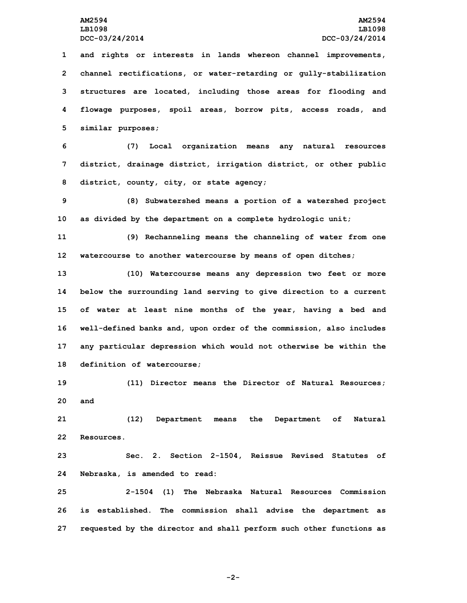**and rights or interests in lands whereon channel improvements, channel rectifications, or water-retarding or gully-stabilization structures are located, including those areas for flooding and flowage purposes, spoil areas, borrow pits, access roads, and similar purposes;**

**6 (7) Local organization means any natural resources 7 district, drainage district, irrigation district, or other public 8 district, county, city, or state agency;**

**9 (8) Subwatershed means <sup>a</sup> portion of <sup>a</sup> watershed project 10 as divided by the department on <sup>a</sup> complete hydrologic unit;**

**11 (9) Rechanneling means the channeling of water from one 12 watercourse to another watercourse by means of open ditches;**

 **(10) Watercourse means any depression two feet or more below the surrounding land serving to give direction to <sup>a</sup> current of water at least nine months of the year, having <sup>a</sup> bed and well-defined banks and, upon order of the commission, also includes any particular depression which would not otherwise be within the definition of watercourse;**

**19 (11) Director means the Director of Natural Resources; 20 and**

**21 (12) Department means the Department of Natural 22 Resources.**

**23 Sec. 2. Section 2-1504, Reissue Revised Statutes of 24 Nebraska, is amended to read:**

**25 2-1504 (1) The Nebraska Natural Resources Commission 26 is established. The commission shall advise the department as 27 requested by the director and shall perform such other functions as**

**-2-**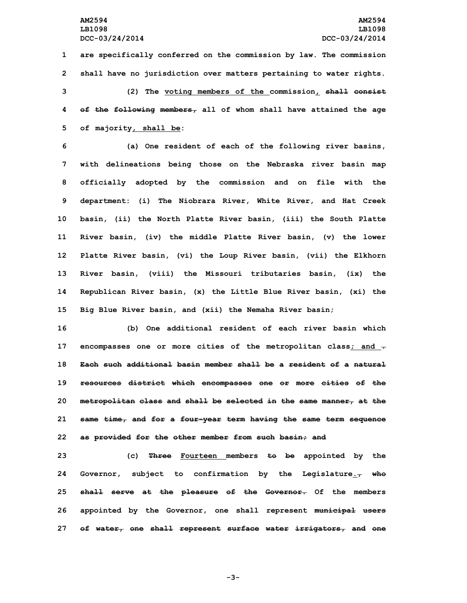**are specifically conferred on the commission by law. The commission shall have no jurisdiction over matters pertaining to water rights. (2) The voting members of the commission, shall consist of the following members, all of whom shall have attained the age of majority, shall be:**

 **(a) One resident of each of the following river basins, with delineations being those on the Nebraska river basin map officially adopted by the commission and on file with the department: (i) The Niobrara River, White River, and Hat Creek basin, (ii) the North Platte River basin, (iii) the South Platte River basin, (iv) the middle Platte River basin, (v) the lower Platte River basin, (vi) the Loup River basin, (vii) the Elkhorn River basin, (viii) the Missouri tributaries basin, (ix) the Republican River basin, (x) the Little Blue River basin, (xi) the Big Blue River basin, and (xii) the Nemaha River basin;**

 **(b) One additional resident of each river basin which encompasses one or more cities of the metropolitan class; and . Each such additional basin member shall be a resident of a natural resources district which encompasses one or more cities of the metropolitan class and shall be selected in the same manner, at the same time, and for <sup>a</sup> four-year term having the same term sequence as provided for the other member from such basin; and**

 **(c) Three Fourteen members to be appointed by the Governor, subject to confirmation by the Legislature., who shall serve at the pleasure of the Governor. Of the members appointed by the Governor, one shall represent municipal users of water, one shall represent surface water irrigators, and one**

**-3-**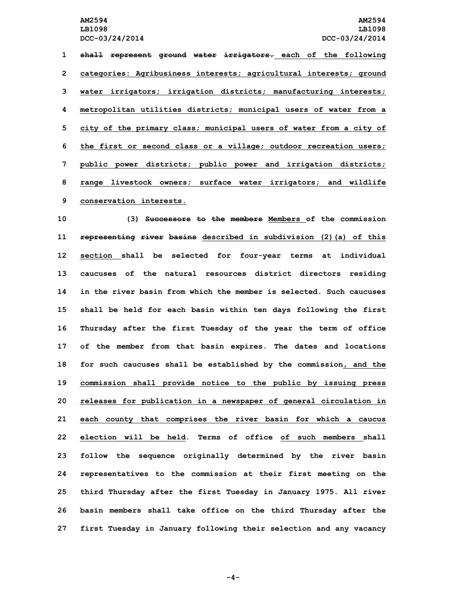**shall represent ground water irrigators. each of the following categories: Agribusiness interests; agricultural interests; ground water irrigators; irrigation districts; manufacturing interests; metropolitan utilities districts; municipal users of water from <sup>a</sup> city of the primary class; municipal users of water from <sup>a</sup> city of the first or second class or <sup>a</sup> village; outdoor recreation users; public power districts; public power and irrigation districts; range livestock owners; surface water irrigators; and wildlife conservation interests.**

 **(3) Successors to the members Members of the commission representing river basins described in subdivision (2)(a) of this section shall be selected for four-year terms at individual caucuses of the natural resources district directors residing in the river basin from which the member is selected. Such caucuses shall be held for each basin within ten days following the first Thursday after the first Tuesday of the year the term of office of the member from that basin expires. The dates and locations for such caucuses shall be established by the commission, and the commission shall provide notice to the public by issuing press releases for publication in <sup>a</sup> newspaper of general circulation in each county that comprises the river basin for which <sup>a</sup> caucus election will be held. Terms of office of such members shall follow the sequence originally determined by the river basin representatives to the commission at their first meeting on the third Thursday after the first Tuesday in January 1975. All river basin members shall take office on the third Thursday after the first Tuesday in January following their selection and any vacancy**

**-4-**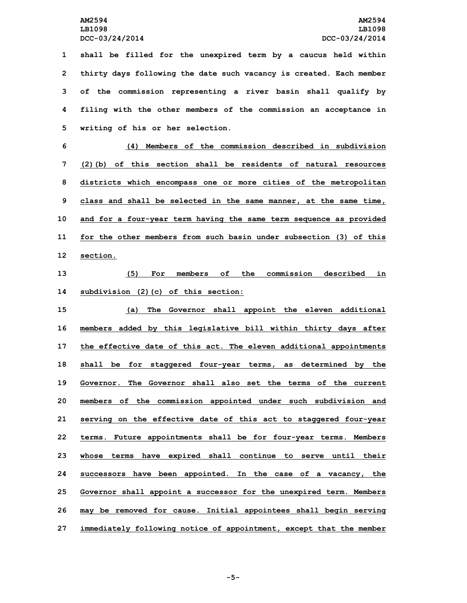**shall be filled for the unexpired term by <sup>a</sup> caucus held within thirty days following the date such vacancy is created. Each member of the commission representing <sup>a</sup> river basin shall qualify by filing with the other members of the commission an acceptance in writing of his or her selection.**

 **(4) Members of the commission described in subdivision (2)(b) of this section shall be residents of natural resources districts which encompass one or more cities of the metropolitan class and shall be selected in the same manner, at the same time, and for <sup>a</sup> four-year term having the same term sequence as provided for the other members from such basin under subsection (3) of this 12 section.**

**13 (5) For members of the commission described in 14 subdivision (2)(c) of this section:**

 **(a) The Governor shall appoint the eleven additional members added by this legislative bill within thirty days after the effective date of this act. The eleven additional appointments shall be for staggered four-year terms, as determined by the Governor. The Governor shall also set the terms of the current members of the commission appointed under such subdivision and serving on the effective date of this act to staggered four-year terms. Future appointments shall be for four-year terms. Members whose terms have expired shall continue to serve until their successors have been appointed. In the case of <sup>a</sup> vacancy, the Governor shall appoint <sup>a</sup> successor for the unexpired term. Members may be removed for cause. Initial appointees shall begin serving immediately following notice of appointment, except that the member**

**-5-**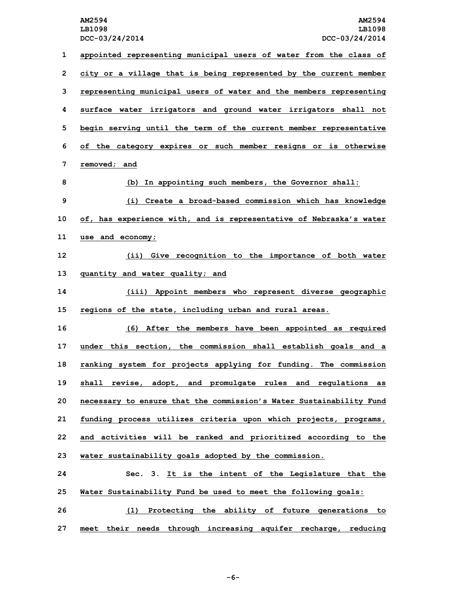**DCC-03/24/2014 DCC-03/24/2014 appointed representing municipal users of water from the class of city or <sup>a</sup> village that is being represented by the current member representing municipal users of water and the members representing surface water irrigators and ground water irrigators shall not begin serving until the term of the current member representative of the category expires or such member resigns or is otherwise removed; and (b) In appointing such members, the Governor shall: (i) Create <sup>a</sup> broad-based commission which has knowledge of, has experience with, and is representative of Nebraska's water use and economy; (ii) Give recognition to the importance of both water quantity and water quality; and (iii) Appoint members who represent diverse geographic regions of the state, including urban and rural areas. (6) After the members have been appointed as required under this section, the commission shall establish goals and <sup>a</sup> ranking system for projects applying for funding. The commission shall revise, adopt, and promulgate rules and regulations as necessary to ensure that the commission's Water Sustainability Fund funding process utilizes criteria upon which projects, programs, and activities will be ranked and prioritized according to the water sustainability goals adopted by the commission. Sec. 3. It is the intent of the Legislature that the Water Sustainability Fund be used to meet the following goals: (1) Protecting the ability of future generations to**

**27 meet their needs through increasing aquifer recharge, reducing**

**-6-**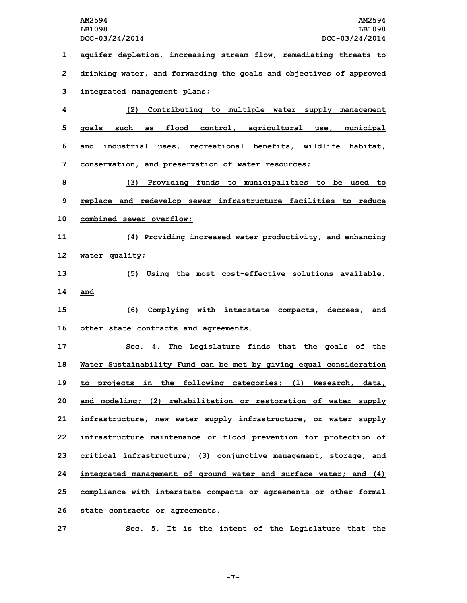**aquifer depletion, increasing stream flow, remediating threats to drinking water, and forwarding the goals and objectives of approved integrated management plans; (2) Contributing to multiple water supply management goals such as flood control, agricultural use, municipal and industrial uses, recreational benefits, wildlife habitat, conservation, and preservation of water resources; (3) Providing funds to municipalities to be used to replace and redevelop sewer infrastructure facilities to reduce combined sewer overflow; (4) Providing increased water productivity, and enhancing water quality; (5) Using the most cost-effective solutions available; 14 and (6) Complying with interstate compacts, decrees, and other state contracts and agreements. Sec. 4. The Legislature finds that the goals of the Water Sustainability Fund can be met by giving equal consideration to projects in the following categories: (1) Research, data, and modeling; (2) rehabilitation or restoration of water supply infrastructure, new water supply infrastructure, or water supply infrastructure maintenance or flood prevention for protection of critical infrastructure; (3) conjunctive management, storage, and integrated management of ground water and surface water; and (4) compliance with interstate compacts or agreements or other formal state contracts or agreements.**

**27 Sec. 5. It is the intent of the Legislature that the**

**-7-**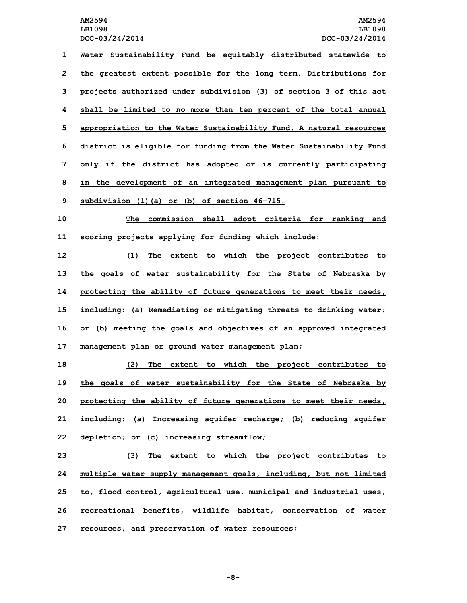**DCC-03/24/2014 DCC-03/24/2014 Water Sustainability Fund be equitably distributed statewide to the greatest extent possible for the long term. Distributions for projects authorized under subdivision (3) of section 3 of this act shall be limited to no more than ten percent of the total annual appropriation to the Water Sustainability Fund. A natural resources district is eligible for funding from the Water Sustainability Fund only if the district has adopted or is currently participating in the development of an integrated management plan pursuant to subdivision (1)(a) or (b) of section 46-715. The commission shall adopt criteria for ranking and scoring projects applying for funding which include: (1) The extent to which the project contributes to the goals of water sustainability for the State of Nebraska by protecting the ability of future generations to meet their needs, including: (a) Remediating or mitigating threats to drinking water; or (b) meeting the goals and objectives of an approved integrated management plan or ground water management plan; (2) The extent to which the project contributes to the goals of water sustainability for the State of Nebraska by protecting the ability of future generations to meet their needs,**

**21 including: (a) Increasing aquifer recharge; (b) reducing aquifer 22 depletion; or (c) increasing streamflow;**

 **(3) The extent to which the project contributes to multiple water supply management goals, including, but not limited to, flood control, agricultural use, municipal and industrial uses, recreational benefits, wildlife habitat, conservation of water resources, and preservation of water resources;**

**-8-**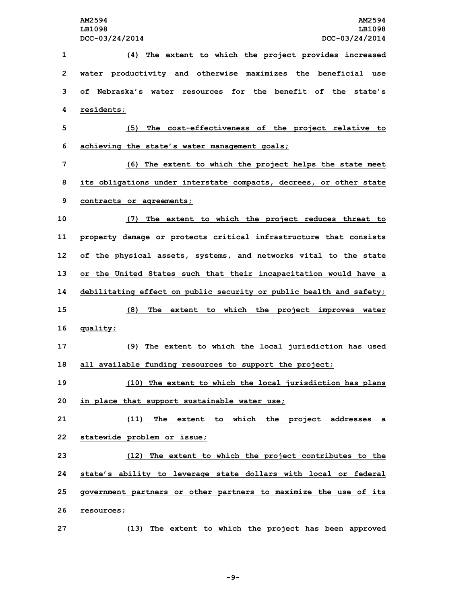**(4) The extent to which the project provides increased water productivity and otherwise maximizes the beneficial use of Nebraska's water resources for the benefit of the state's residents; (5) The cost-effectiveness of the project relative to achieving the state's water management goals; (6) The extent to which the project helps the state meet its obligations under interstate compacts, decrees, or other state contracts or agreements; (7) The extent to which the project reduces threat to property damage or protects critical infrastructure that consists of the physical assets, systems, and networks vital to the state or the United States such that their incapacitation would have <sup>a</sup> debilitating effect on public security or public health and safety; (8) The extent to which the project improves water 16 quality; (9) The extent to which the local jurisdiction has used all available funding resources to support the project; (10) The extent to which the local jurisdiction has plans in place that support sustainable water use; (11) The extent to which the project addresses <sup>a</sup> statewide problem or issue; (12) The extent to which the project contributes to the state's ability to leverage state dollars with local or federal government partners or other partners to maximize the use of its resources; (13) The extent to which the project has been approved**

**-9-**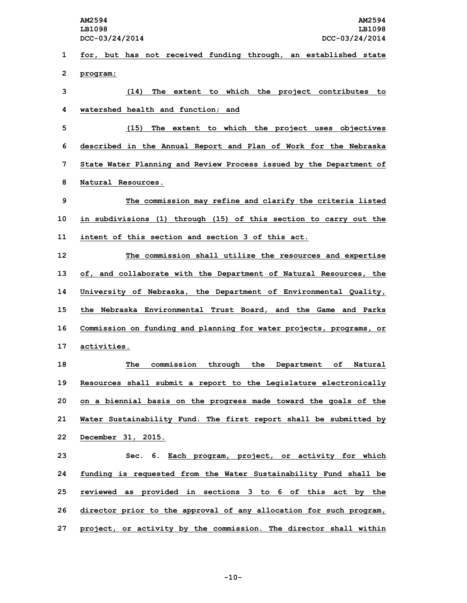**LB1098 LB1098**

**1 for, but has not received funding through, an established state 2 program;**

**3 (14) The extent to which the project contributes to 4 watershed health and function; and**

 **(15) The extent to which the project uses objectives described in the Annual Report and Plan of Work for the Nebraska State Water Planning and Review Process issued by the Department of Natural Resources.**

**9 The commission may refine and clarify the criteria listed 10 in subdivisions (1) through (15) of this section to carry out the 11 intent of this section and section 3 of this act.**

 **The commission shall utilize the resources and expertise of, and collaborate with the Department of Natural Resources, the University of Nebraska, the Department of Environmental Quality, the Nebraska Environmental Trust Board, and the Game and Parks Commission on funding and planning for water projects, programs, or activities.**

 **The commission through the Department of Natural Resources shall submit <sup>a</sup> report to the Legislature electronically on <sup>a</sup> biennial basis on the progress made toward the goals of the Water Sustainability Fund. The first report shall be submitted by December 31, 2015.**

 **Sec. 6. Each program, project, or activity for which funding is requested from the Water Sustainability Fund shall be reviewed as provided in sections 3 to 6 of this act by the director prior to the approval of any allocation for such program, project, or activity by the commission. The director shall within**